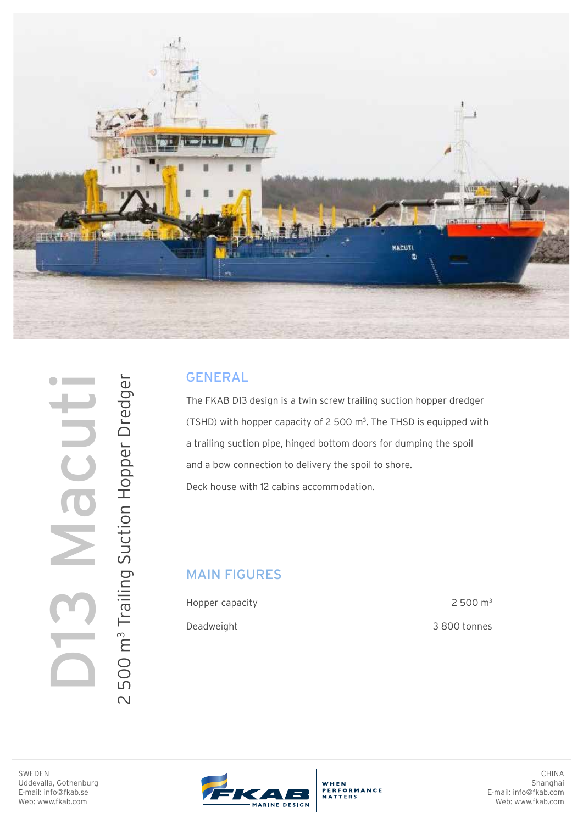

## GENERAL

The FKAB D13 design is a twin screw trailing suction hopper dredger (TSHD) with hopper capacity of  $2500 \text{ m}^3$ . The THSD is equipped with a trailing suction pipe, hinged bottom doors for dumping the spoil and a bow connection to delivery the spoil to shore. Deck house with 12 cabins accommodation.

## MAIN FIGURES

Hopper capacity Deadweight

2 500 m3 3 800 tonnes

D13 Macuti

Macu

2 500 m

 $\overline{N}$ 

3 Trailing Suction Hopper Dredger

500 m<sup>3</sup> Trailing Suction Hopper Dredger